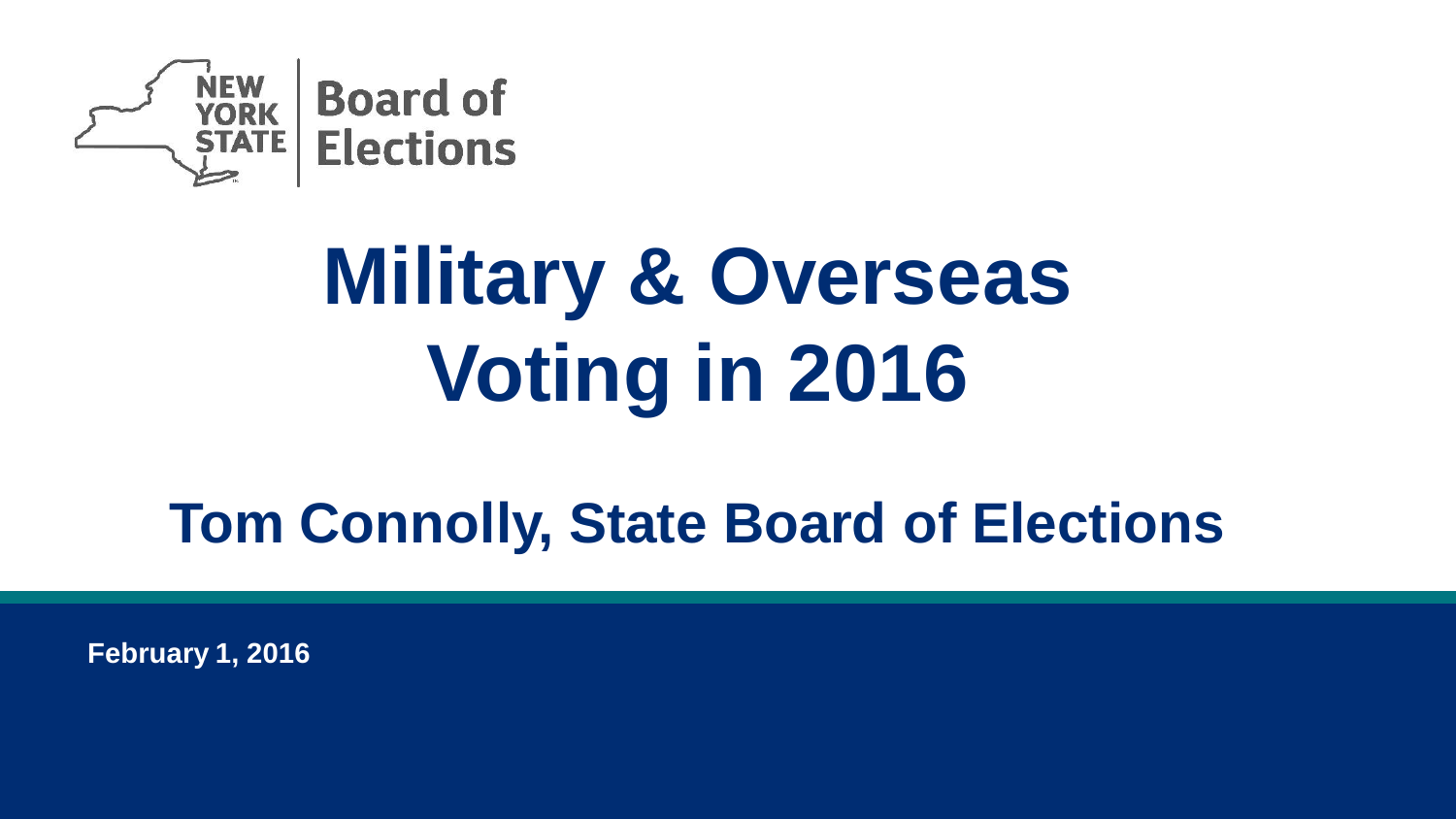

# **Military & Overseas Voting in 2016**

# **Tom Connolly, State Board of Elections**

**February 1, 2016**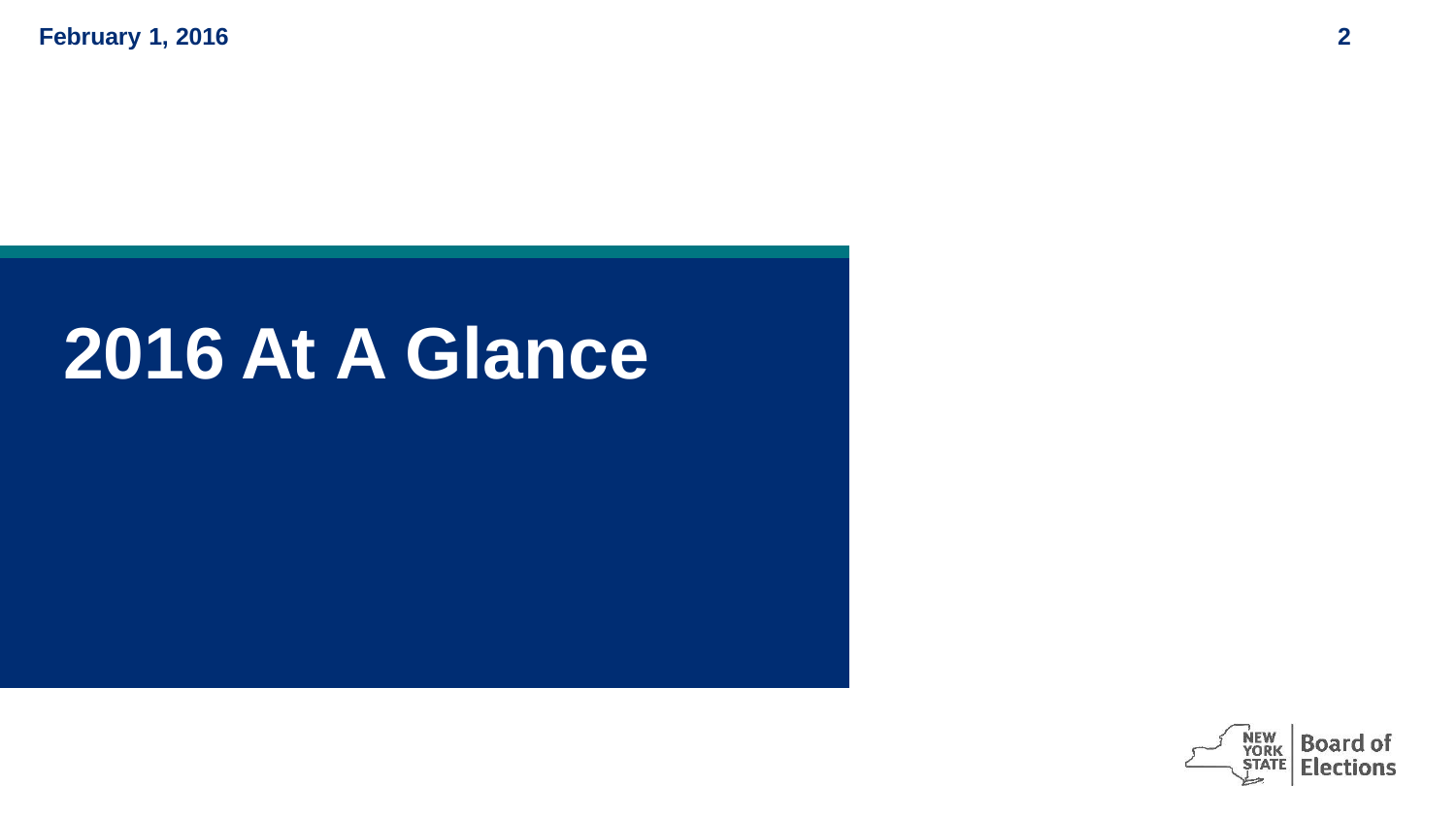**February 1, 2016 2**

# **2016 At A Glance**

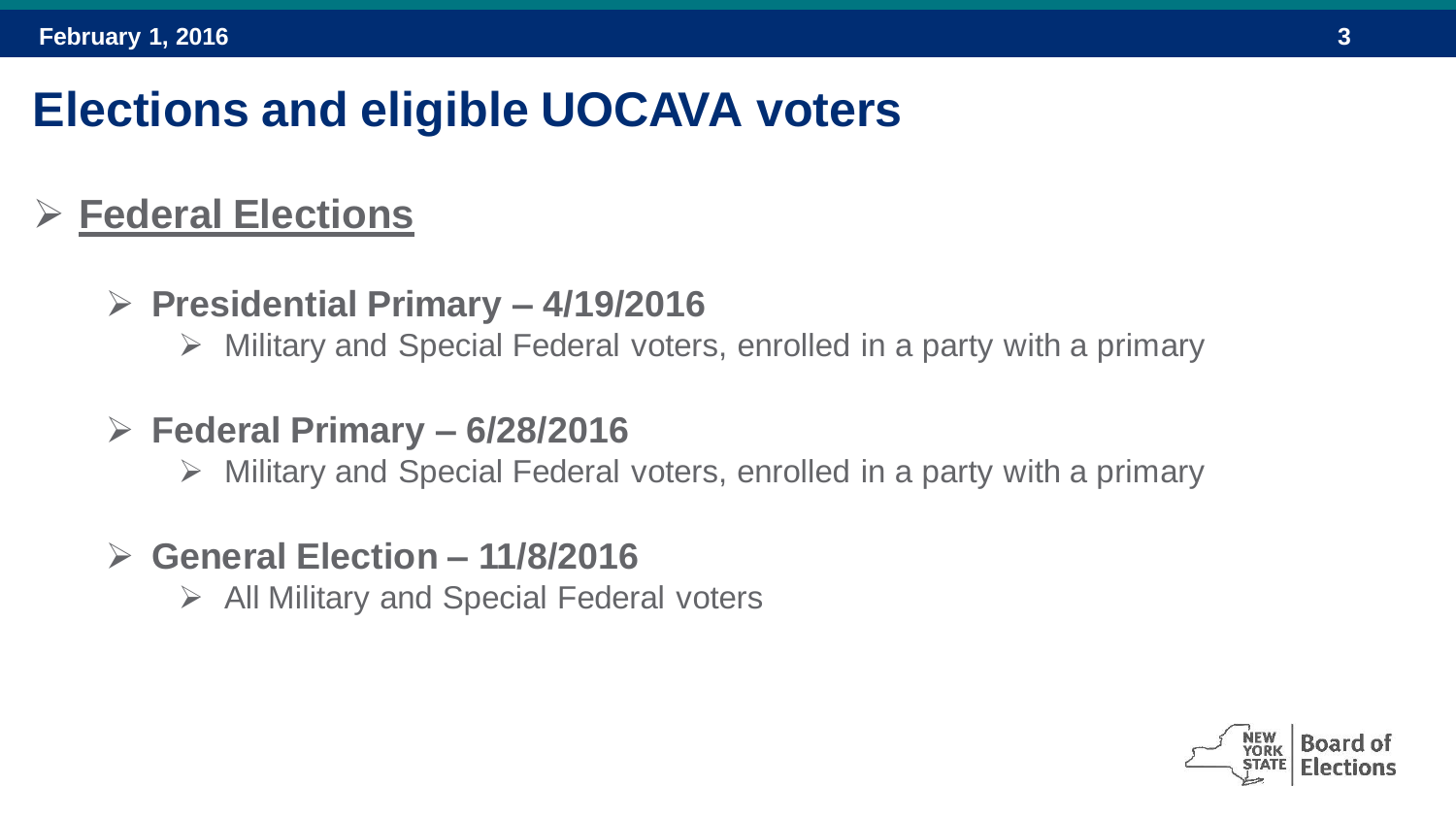#### **Elections and eligible UOCAVA voters**

#### **Federal Elections**

- **Presidential Primary – 4/19/2016**
	- $\triangleright$  Military and Special Federal voters, enrolled in a party with a primary
- **Federal Primary – 6/28/2016**
	- $\triangleright$  Military and Special Federal voters, enrolled in a party with a primary
- **General Election – 11/8/2016**
	- $\triangleright$  All Military and Special Federal voters

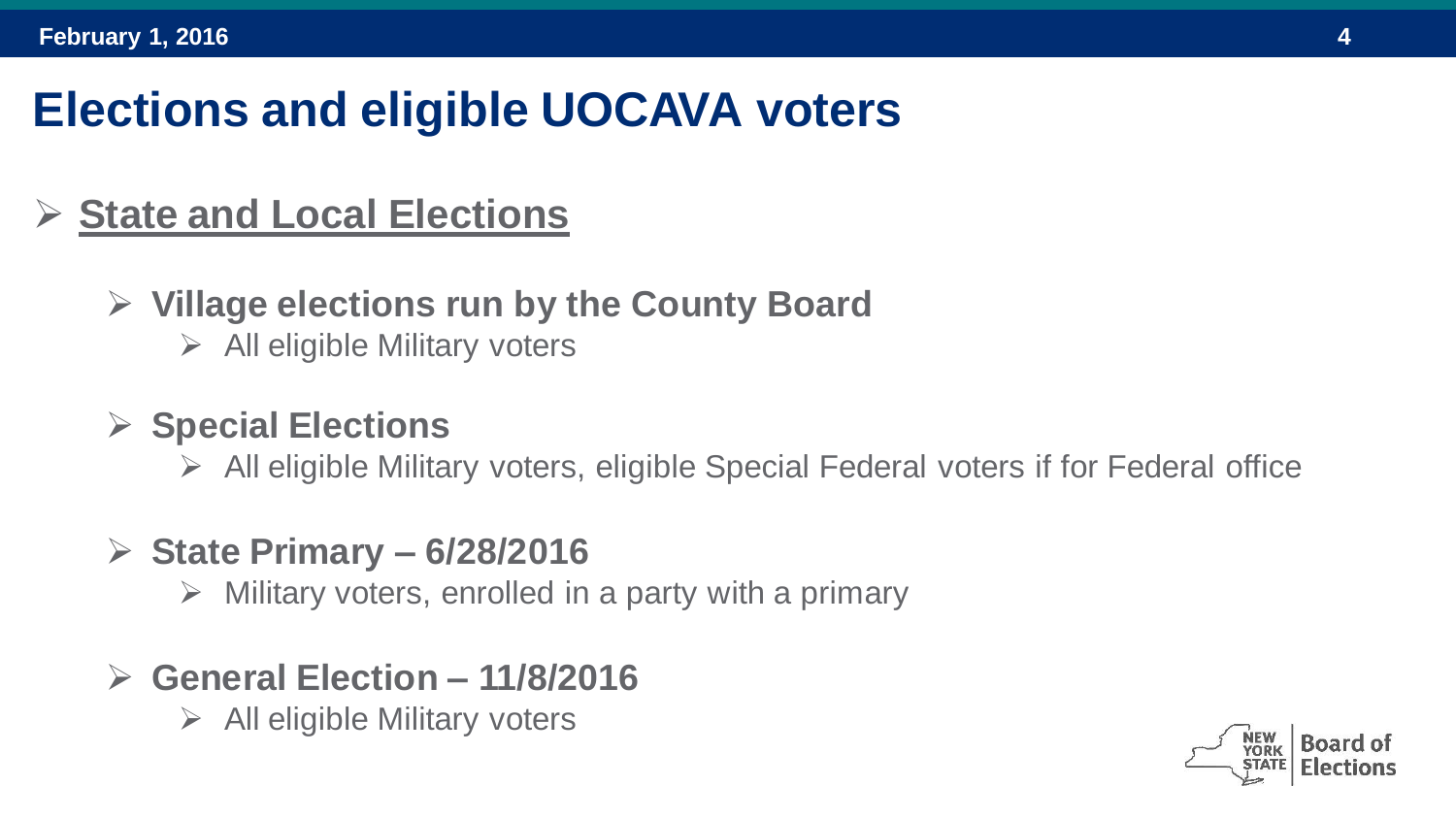### **Elections and eligible UOCAVA voters**

#### **State and Local Elections**

- **Village elections run by the County Board**
	- $\triangleright$  All eligible Military voters

#### **Special Elections**

- $\triangleright$  All eligible Military voters, eligible Special Federal voters if for Federal office
- **State Primary – 6/28/2016**
	- $\triangleright$  Military voters, enrolled in a party with a primary
- **General Election – 11/8/2016**
	- $\triangleright$  All eligible Military voters

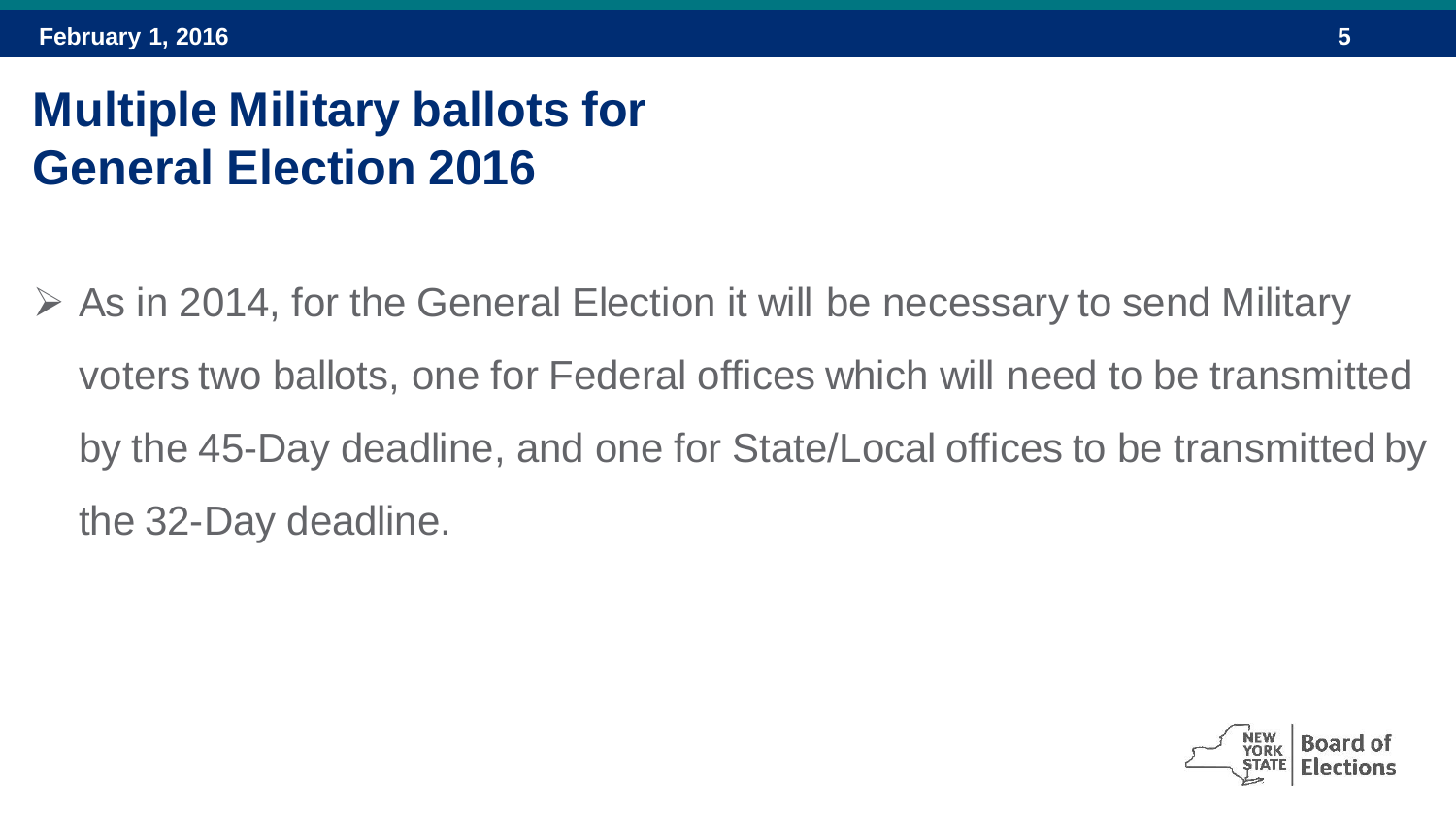## **Multiple Military ballots for General Election 2016**

 $\triangleright$  As in 2014, for the General Election it will be necessary to send Military voters two ballots, one for Federal offices which will need to be transmitted by the 45-Day deadline, and one for State/Local offices to be transmitted by the 32-Day deadline.

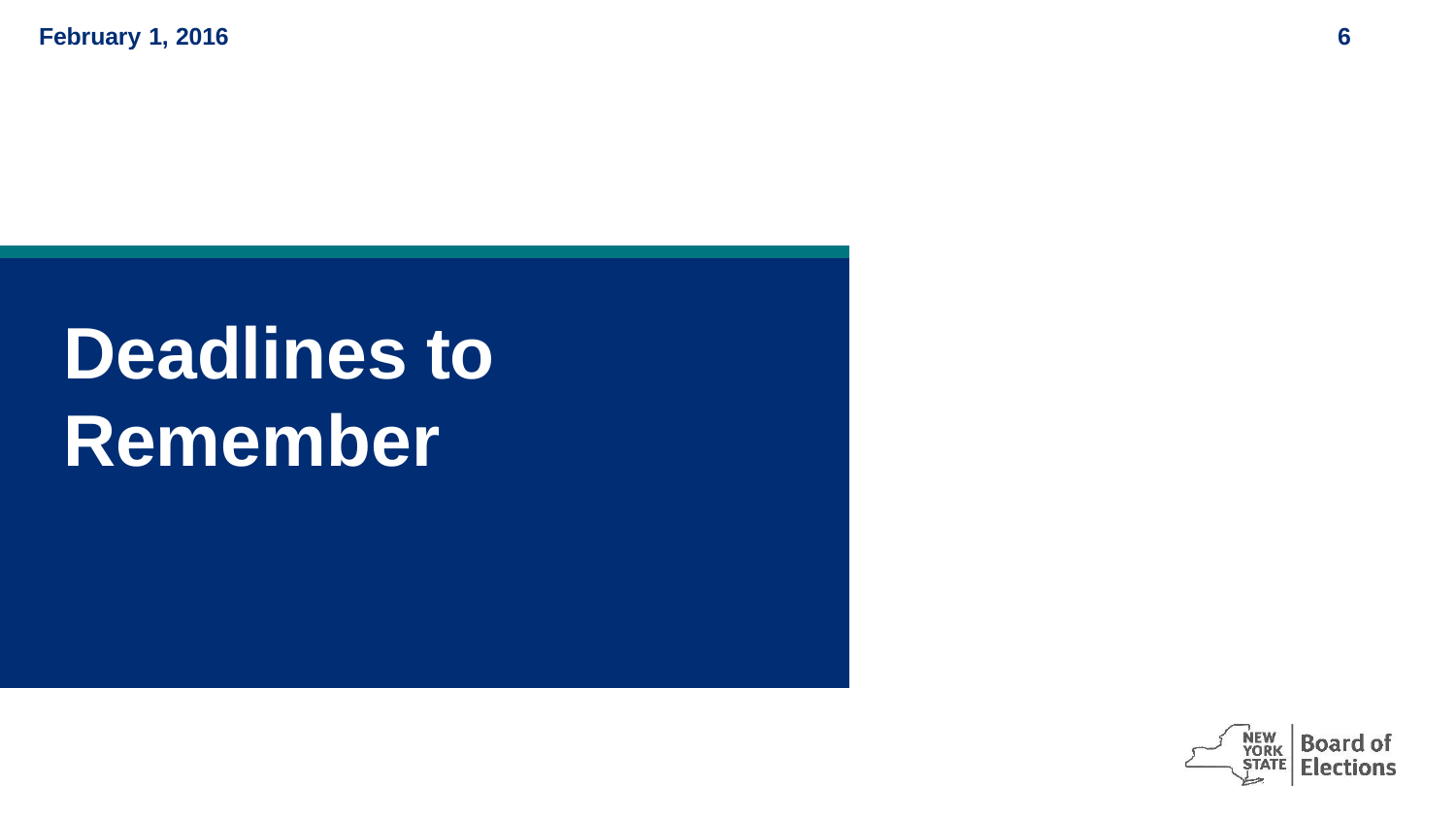**February 1, 2016 6**

# **Deadlines to Remember**

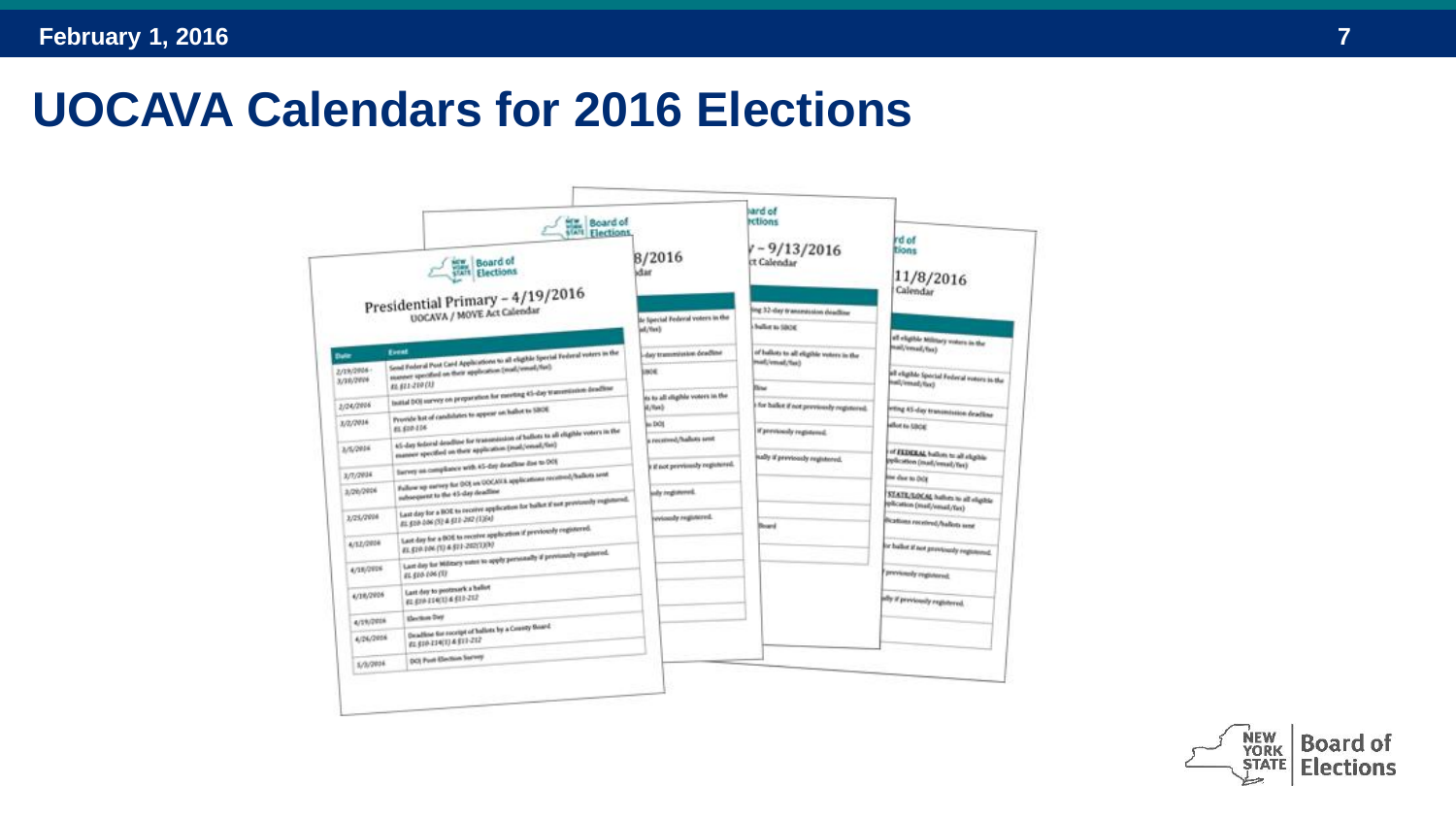#### **UOCAVA Calendars for 2016 Elections**

|                                                                | Board of                                                                                                                                     |                                                | hard of<br>retions                                    | rd of                                                             |              |
|----------------------------------------------------------------|----------------------------------------------------------------------------------------------------------------------------------------------|------------------------------------------------|-------------------------------------------------------|-------------------------------------------------------------------|--------------|
|                                                                | Board of                                                                                                                                     | B/2016<br>idar                                 | $y - 9/13/2016$<br>IT Calendar                        | tions<br>11/8/2016                                                |              |
| Presidential Primary - 4/19/2016<br>UOCAVA / MOVE Act Calendar |                                                                                                                                              | the Special Federal voters in the<br>int/field | ing 32-day transmission deadline<br>ballier to titure | Calendar<br>off eligible Military voters in the                   |              |
|                                                                |                                                                                                                                              |                                                |                                                       |                                                                   | <b>Date:</b> |
| 2/19/2016 -<br>3/39/2024                                       | sumert specified on their application (mail/email/fiel)                                                                                      | <b>SHOW</b>                                    | Post/email/fact                                       | of eligible Special Federal voters in the                         |              |
|                                                                | 49, 822-210 (3)<br>initial DOJ survey on preparation for meeting 45-day transmission-deadline                                                | its to all slighly voters in the               | <b>Direct</b>                                         | Evel / Fremanly Read                                              |              |
| 2/24/2006                                                      | Provide lot of candidates to appear on hallot to SBOE                                                                                        | dash <sub>a</sub> k                            | I for ballet if not previously registered.            | etting AS day transmission deadline                               |              |
| 3/2/2016                                                       | 85,610,116                                                                                                                                   | in DOI                                         | <b>If previously registered.</b>                      | allot to today                                                    |              |
| 3/5/2014                                                       | AS-day Selated deadline for transmission of ballots to all eligible voters in the<br>manner specified on their application (mail/email/fini) | a received, hallots sent                       |                                                       | of FEDERAL ballots to all shiplife                                |              |
|                                                                | Survey as compliance with 45-day deadline due to 001                                                                                         | if not previously registered.                  | inally if provisorsly registered.                     | pplication (mail/innail/fax)                                      |              |
| 3/7/2934                                                       | Failure up extrey for DOI on OOCASE applications received/hallots sent                                                                       |                                                |                                                       | <b>Bier das to DOE</b>                                            |              |
| 3/26/2014                                                      | subsequent to the 45-day deadline                                                                                                            | jody imginieried.                              |                                                       | STATE/LOCAL hallen to all eligible<br>edication (mail/result/fax) |              |
| 3/25/2004                                                      | Last day for a BOE to receive application for ballet if not previously regionsed.<br>81.500-006 (52 & 512-282 (1)(4)                         | www.dy registered.                             |                                                       | <b>Brattons received/hallots asset</b>                            |              |
|                                                                | Lest day for a BOE to receive application if previously registered.                                                                          |                                                | Board                                                 |                                                                   |              |
| A/52/2014                                                      | 41.510.104 (1) 4.511-242(2)(9)<br>Last day for Military vates to apply personally if previously registered.                                  |                                                |                                                       | or ballor if not provincely registered.                           |              |
| 4/18/2019                                                      | 81, \$10, 106 (1)                                                                                                                            |                                                |                                                       | previously registered.                                            |              |
| 4/18/2926                                                      | Last day to protesark a heliot                                                                                                               |                                                |                                                       |                                                                   |              |
|                                                                | 61 610 114(1) 6 611-212                                                                                                                      |                                                |                                                       | ofly if previously registered.                                    |              |
| 4/19/2019                                                      | <b>Sherings Diet</b><br>Deadline for receipt of ballots by a County Goard                                                                    |                                                |                                                       |                                                                   |              |
| 4/26/2016                                                      | 41,610-114(1) 4:611-212                                                                                                                      |                                                |                                                       |                                                                   |              |
|                                                                | DOL Pault Ellection Servey<br>5/5/2024                                                                                                       |                                                |                                                       |                                                                   |              |

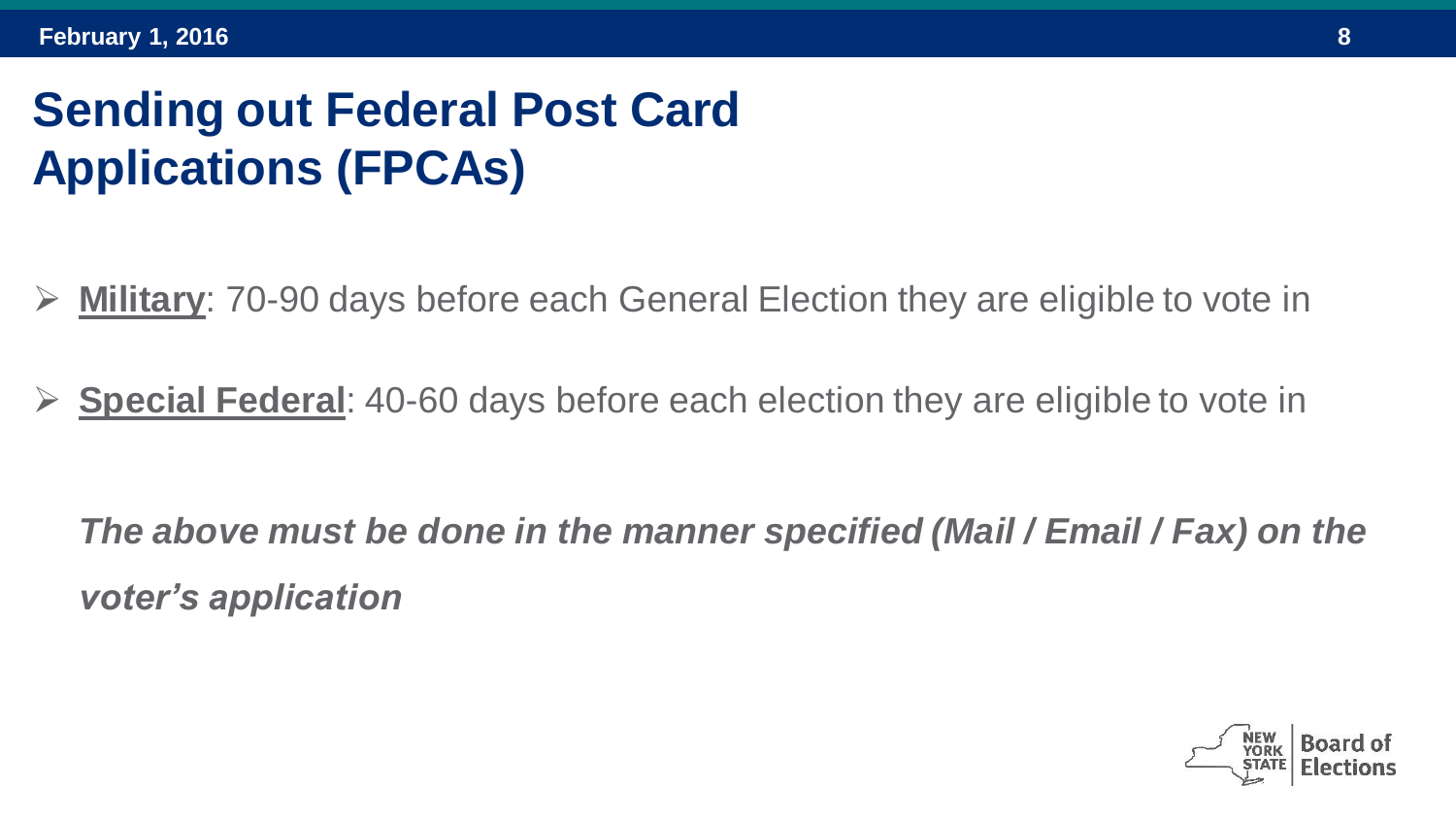## **Sending out Federal Post Card Applications (FPCAs)**

- **Military**: 70-90 days before each General Election they are eligible to vote in
- **Special Federal**: 40-60 days before each election they are eligible to vote in

*The above must be done in the manner specified (Mail / Email / Fax) on the voter's application*

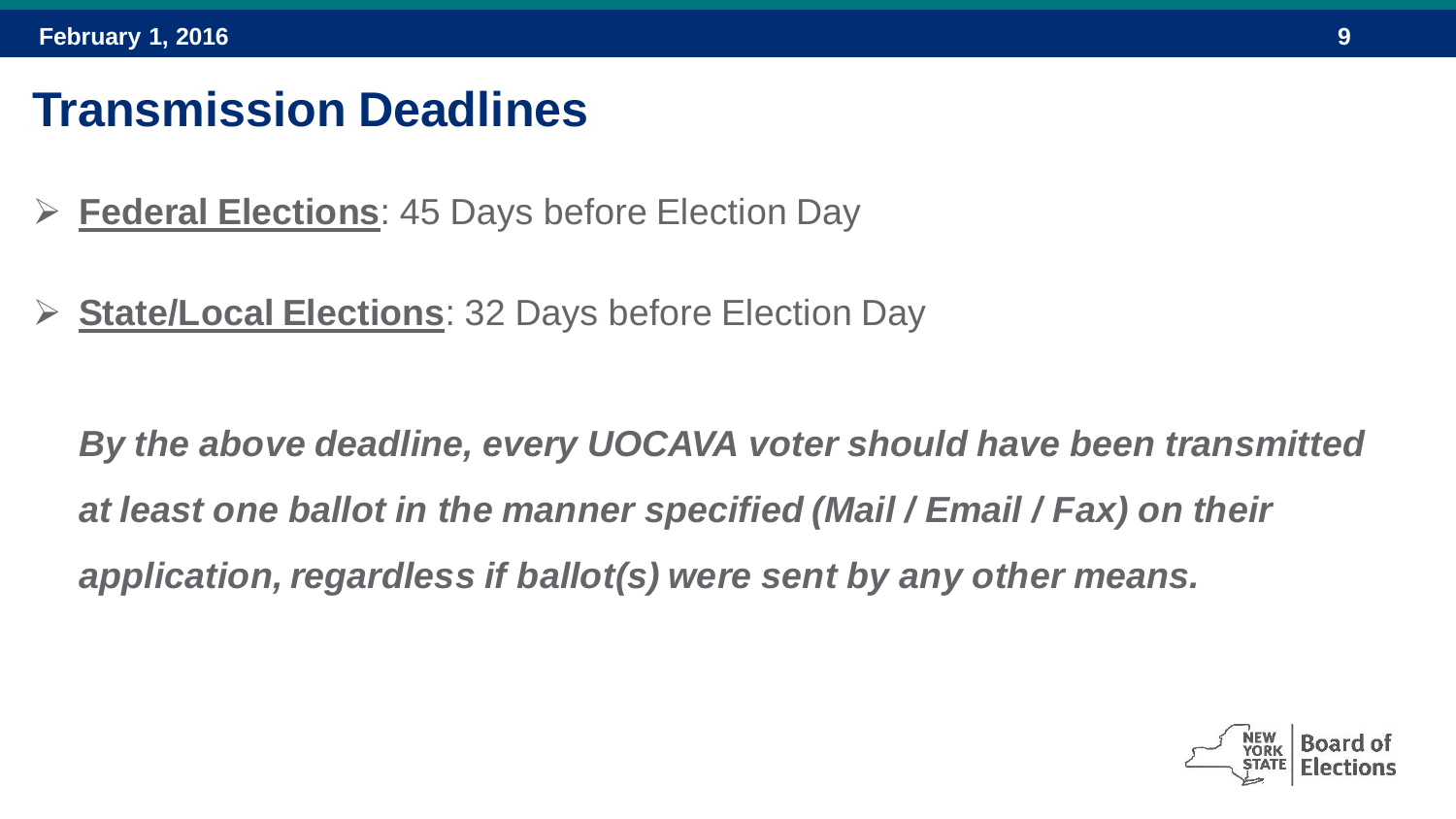#### **Transmission Deadlines**

- **Federal Elections**: 45 Days before Election Day
- **State/Local Elections**: 32 Days before Election Day

*By the above deadline, every UOCAVA voter should have been transmitted at least one ballot in the manner specified (Mail / Email / Fax) on their application, regardless if ballot(s) were sent by any other means.*

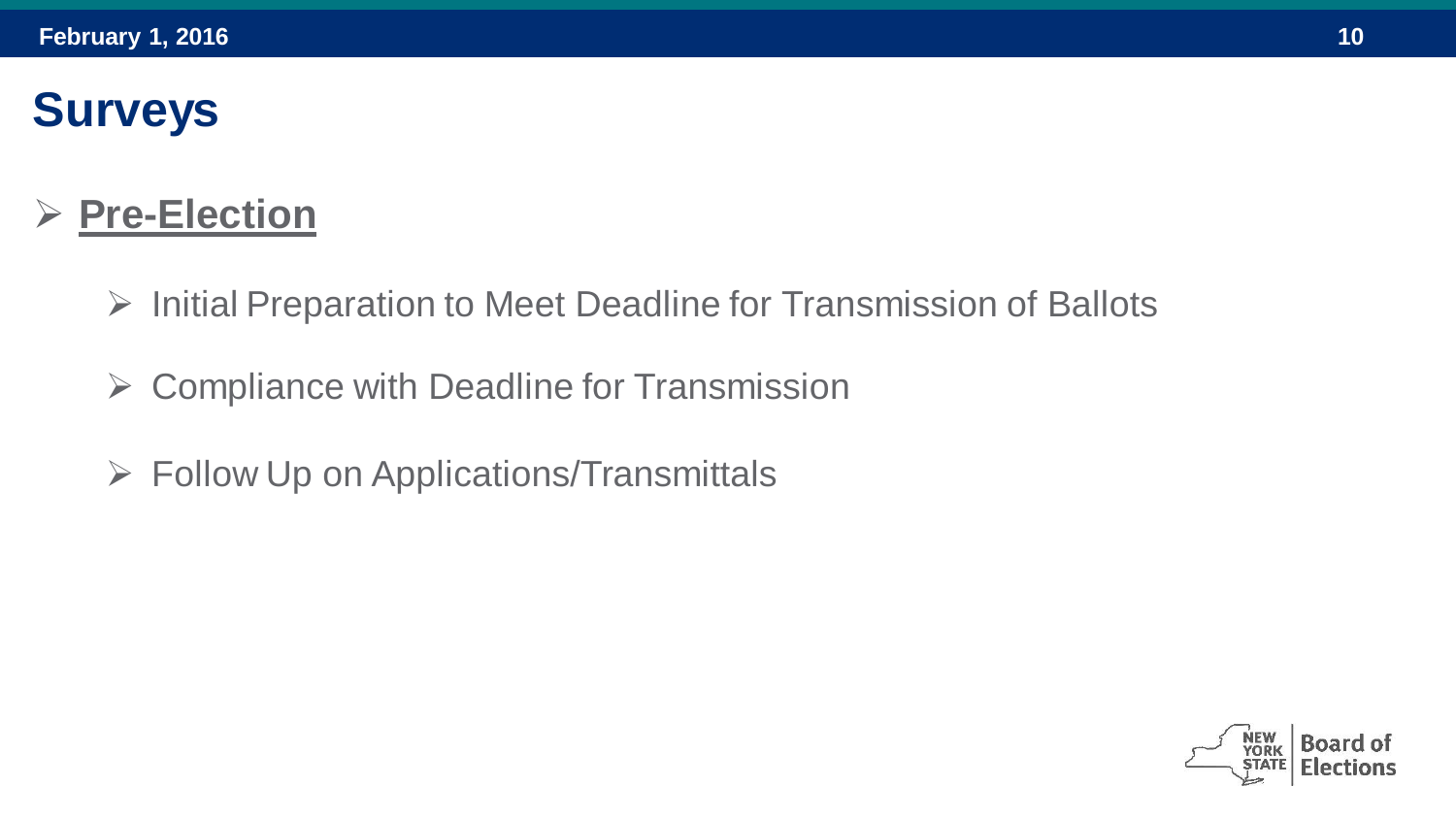## **Surveys**

#### **Pre-Election**

- $\triangleright$  Initial Preparation to Meet Deadline for Transmission of Ballots
- $\triangleright$  Compliance with Deadline for Transmission
- $\triangleright$  Follow Up on Applications/Transmittals

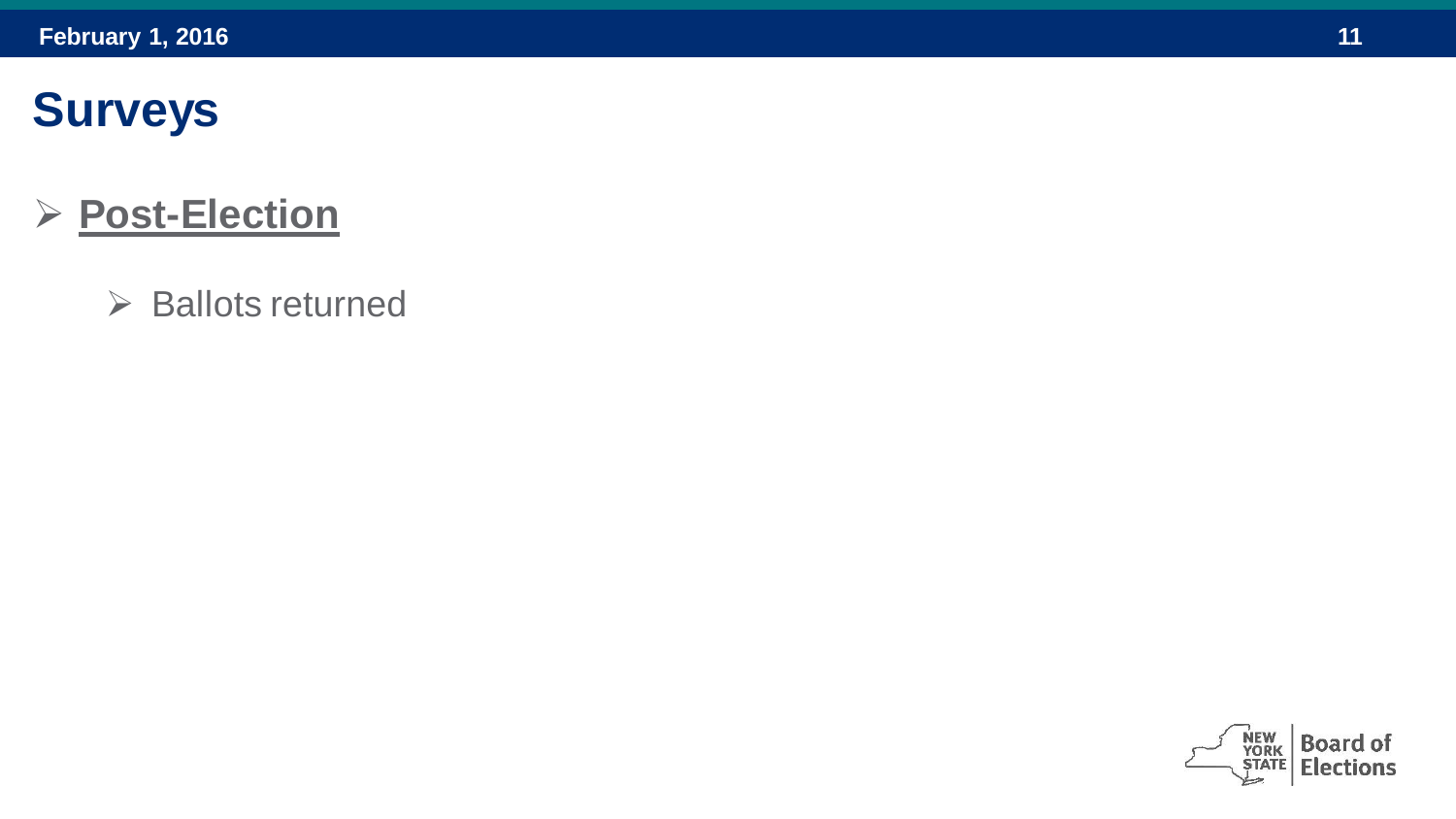## **Surveys**

#### **Post-Election**

 $\triangleright$  Ballots returned

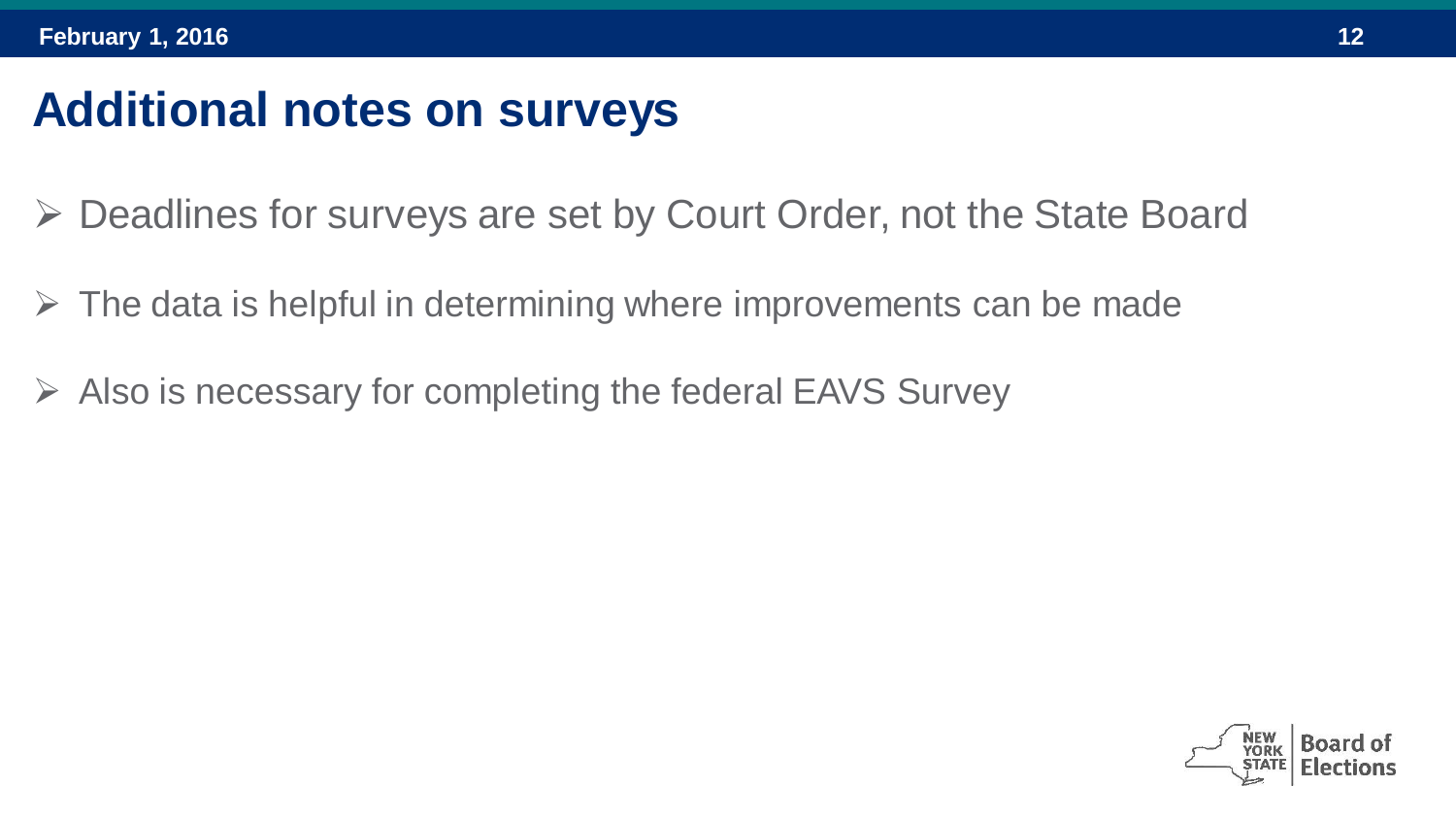#### **Additional notes on surveys**

- Deadlines for surveys are set by Court Order, not the State Board
- $\triangleright$  The data is helpful in determining where improvements can be made
- $\triangleright$  Also is necessary for completing the federal EAVS Survey